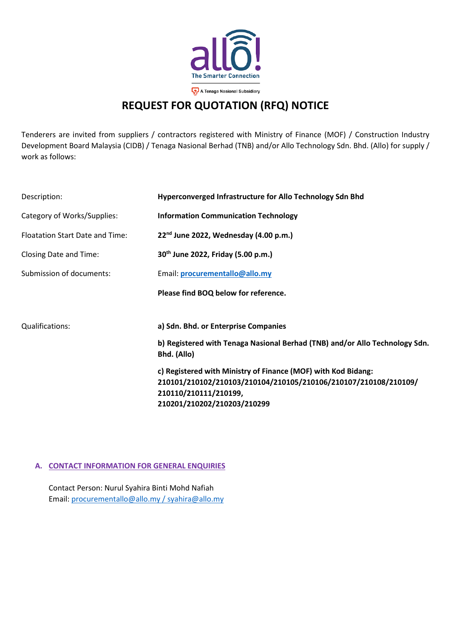

## **REQUEST FOR QUOTATION (RFQ) NOTICE**

Tenderers are invited from suppliers / contractors registered with Ministry of Finance (MOF) / Construction Industry Development Board Malaysia (CIDB) / Tenaga Nasional Berhad (TNB) and/or Allo Technology Sdn. Bhd. (Allo) for supply / work as follows:

| Description:                    | Hyperconverged Infrastructure for Allo Technology Sdn Bhd                                  |  |  |
|---------------------------------|--------------------------------------------------------------------------------------------|--|--|
| Category of Works/Supplies:     | <b>Information Communication Technology</b>                                                |  |  |
| Floatation Start Date and Time: | $22^{nd}$ June 2022, Wednesday (4.00 p.m.)                                                 |  |  |
| Closing Date and Time:          | 30 <sup>th</sup> June 2022, Friday (5.00 p.m.)                                             |  |  |
| Submission of documents:        | Email: procurementallo@allo.my                                                             |  |  |
|                                 | Please find BOQ below for reference.                                                       |  |  |
| Qualifications:                 | a) Sdn. Bhd. or Enterprise Companies                                                       |  |  |
|                                 | b) Registered with Tenaga Nasional Berhad (TNB) and/or Allo Technology Sdn.<br>Bhd. (Allo) |  |  |
|                                 | c) Registered with Ministry of Finance (MOF) with Kod Bidang:                              |  |  |
|                                 | 210101/210102/210103/210104/210105/210106/210107/210108/210109/                            |  |  |
|                                 | 210110/210111/210199,                                                                      |  |  |
|                                 | 210201/210202/210203/210299                                                                |  |  |

## **A. CONTACT INFORMATION FOR GENERAL ENQUIRIES**

Contact Person: Nurul Syahira Binti Mohd Nafiah Email: [procurementallo@allo.my](mailto:procurementallo@allo.my) / syahira@allo.my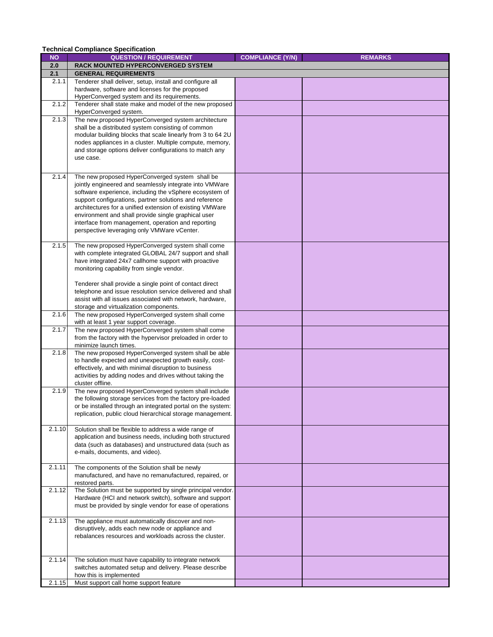|           | <b>Technical Compliance Specification</b>                                                                                 |                         |                |
|-----------|---------------------------------------------------------------------------------------------------------------------------|-------------------------|----------------|
| <b>NQ</b> | <b>QUESTION / REQUIREMENT</b>                                                                                             | <b>COMPLIANCE (Y/N)</b> | <b>REMARKS</b> |
| 2.0       | <b>RACK MOUNTED HYPERCONVERGED SYSTEM</b>                                                                                 |                         |                |
| 2.1       | <b>GENERAL REQUIREMENTS</b>                                                                                               |                         |                |
| 2.1.1     | Tenderer shall deliver, setup, install and configure all                                                                  |                         |                |
|           | hardware, software and licenses for the proposed                                                                          |                         |                |
|           | HyperConverged system and its requirements.                                                                               |                         |                |
| 2.1.2     | Tenderer shall state make and model of the new proposed                                                                   |                         |                |
|           | HyperConverged system.                                                                                                    |                         |                |
| 2.1.3     | The new proposed HyperConverged system architecture                                                                       |                         |                |
|           | shall be a distributed system consisting of common                                                                        |                         |                |
|           | modular building blocks that scale linearly from 3 to 64 2U<br>nodes appliances in a cluster. Multiple compute, memory,   |                         |                |
|           | and storage options deliver configurations to match any                                                                   |                         |                |
|           | use case.                                                                                                                 |                         |                |
|           |                                                                                                                           |                         |                |
| 2.1.4     | The new proposed HyperConverged system shall be                                                                           |                         |                |
|           | jointly engineered and seamlessly integrate into VMWare                                                                   |                         |                |
|           | software experience, including the vSphere ecosystem of                                                                   |                         |                |
|           | support configurations, partner solutions and reference                                                                   |                         |                |
|           | architectures for a unified extension of existing VMWare                                                                  |                         |                |
|           | environment and shall provide single graphical user                                                                       |                         |                |
|           | interface from management, operation and reporting                                                                        |                         |                |
|           | perspective leveraging only VMWare vCenter.                                                                               |                         |                |
|           |                                                                                                                           |                         |                |
| 2.1.5     | The new proposed HyperConverged system shall come                                                                         |                         |                |
|           | with complete integrated GLOBAL 24/7 support and shall<br>have integrated 24x7 callhome support with proactive            |                         |                |
|           | monitoring capability from single vendor.                                                                                 |                         |                |
|           |                                                                                                                           |                         |                |
|           | Tenderer shall provide a single point of contact direct                                                                   |                         |                |
|           | telephone and issue resolution service delivered and shall                                                                |                         |                |
|           | assist with all issues associated with network, hardware,                                                                 |                         |                |
|           | storage and virtualization components.                                                                                    |                         |                |
| 2.1.6     | The new proposed HyperConverged system shall come                                                                         |                         |                |
|           | with at least 1 year support coverage.                                                                                    |                         |                |
| 2.1.7     | The new proposed HyperConverged system shall come<br>from the factory with the hypervisor preloaded in order to           |                         |                |
|           | minimize launch times.                                                                                                    |                         |                |
| 2.1.8     | The new proposed HyperConverged system shall be able                                                                      |                         |                |
|           | to handle expected and unexpected growth easily, cost-                                                                    |                         |                |
|           | effectively, and with minimal disruption to business                                                                      |                         |                |
|           | activities by adding nodes and drives without taking the                                                                  |                         |                |
|           | cluster offline.                                                                                                          |                         |                |
| 2.1.9     | The new proposed HyperConverged system shall include                                                                      |                         |                |
|           | the following storage services from the factory pre-loaded<br>or be installed through an integrated portal on the system: |                         |                |
|           | replication, public cloud hierarchical storage management.                                                                |                         |                |
|           |                                                                                                                           |                         |                |
| 2.1.10    | Solution shall be flexible to address a wide range of                                                                     |                         |                |
|           | application and business needs, including both structured                                                                 |                         |                |
|           | data (such as databases) and unstructured data (such as                                                                   |                         |                |
|           | e-mails, documents, and video).                                                                                           |                         |                |
|           |                                                                                                                           |                         |                |
| 2.1.11    | The components of the Solution shall be newly                                                                             |                         |                |
|           | manufactured, and have no remanufactured, repaired, or<br>restored parts.                                                 |                         |                |
| 2.1.12    | The Solution must be supported by single principal vendor.                                                                |                         |                |
|           | Hardware (HCI and network switch), software and support                                                                   |                         |                |
|           | must be provided by single vendor for ease of operations                                                                  |                         |                |
|           |                                                                                                                           |                         |                |
| 2.1.13    | The appliance must automatically discover and non-                                                                        |                         |                |
|           | disruptively, adds each new node or appliance and                                                                         |                         |                |
|           | rebalances resources and workloads across the cluster.                                                                    |                         |                |
|           |                                                                                                                           |                         |                |
|           |                                                                                                                           |                         |                |
| 2.1.14    | The solution must have capability to integrate network<br>switches automated setup and delivery. Please describe          |                         |                |
|           | how this is implemented                                                                                                   |                         |                |
| 2.1.15    | Must support call home support feature                                                                                    |                         |                |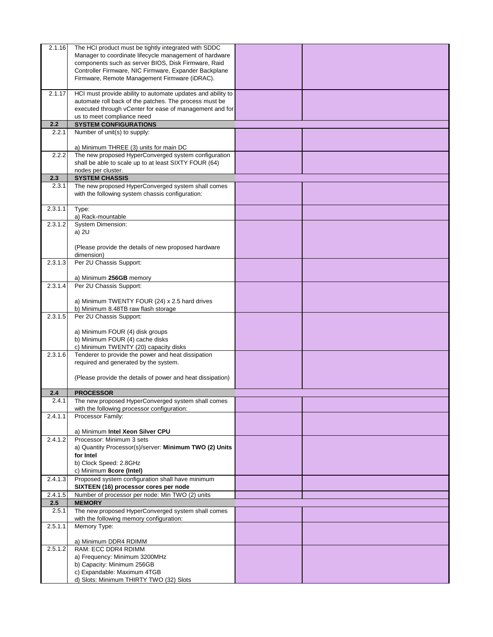| 2.1.16  | The HCI product must be tightly integrated with SDDC                   |  |
|---------|------------------------------------------------------------------------|--|
|         | Manager to coordinate lifecycle management of hardware                 |  |
|         | components such as server BIOS, Disk Firmware, Raid                    |  |
|         |                                                                        |  |
|         | Controller Firmware, NIC Firmware, Expander Backplane                  |  |
|         | Firmware, Remote Management Firmware (iDRAC).                          |  |
|         |                                                                        |  |
| 2.1.17  | HCI must provide ability to automate updates and ability to            |  |
|         | automate roll back of the patches. The process must be                 |  |
|         | executed through vCenter for ease of management and for                |  |
|         | us to meet compliance need                                             |  |
| 2.2     | <b>SYSTEM CONFIGURATIONS</b>                                           |  |
|         |                                                                        |  |
| 2.2.1   | Number of unit(s) to supply:                                           |  |
|         |                                                                        |  |
|         | a) Minimum THREE (3) units for main DC                                 |  |
| 2.2.2   | The new proposed HyperConverged system configuration                   |  |
|         | shall be able to scale up to at least SIXTY FOUR (64)                  |  |
|         | nodes per cluster.                                                     |  |
| 2.3     | <b>SYSTEM CHASSIS</b>                                                  |  |
| 2.3.1   | The new proposed HyperConverged system shall comes                     |  |
|         | with the following system chassis configuration:                       |  |
|         |                                                                        |  |
|         |                                                                        |  |
| 2.3.1.1 | Type:                                                                  |  |
|         | a) Rack-mountable                                                      |  |
| 2.3.1.2 | System Dimension:                                                      |  |
|         | a) 2U                                                                  |  |
|         |                                                                        |  |
|         | (Please provide the details of new proposed hardware                   |  |
|         | dimension)                                                             |  |
| 2.3.1.3 | Per 2U Chassis Support:                                                |  |
|         |                                                                        |  |
|         | a) Minimum 256GB memory                                                |  |
| 2.3.1.4 | Per 2U Chassis Support:                                                |  |
|         |                                                                        |  |
|         |                                                                        |  |
|         | a) Minimum TWENTY FOUR (24) x 2.5 hard drives                          |  |
|         | b) Minimum 8.48TB raw flash storage                                    |  |
| 2.3.1.5 | Per 2U Chassis Support:                                                |  |
|         |                                                                        |  |
|         | a) Minimum FOUR (4) disk groups                                        |  |
|         | b) Minimum FOUR (4) cache disks                                        |  |
|         | c) Minimum TWENTY (20) capacity disks                                  |  |
| 2.3.1.6 | Tenderer to provide the power and heat dissipation                     |  |
|         | required and generated by the system.                                  |  |
|         |                                                                        |  |
|         | (Please provide the details of power and heat dissipation)             |  |
|         |                                                                        |  |
|         |                                                                        |  |
| 2.4     | <b>PROCESSOR</b>                                                       |  |
| 2.4.1   | The new proposed HyperConverged system shall comes                     |  |
|         | with the following processor configuration:                            |  |
| 2.4.1.1 | Processor Family:                                                      |  |
|         |                                                                        |  |
|         | a) Minimum Intel Xeon Silver CPU                                       |  |
| 2.4.1.2 | Processor: Minimum 3 sets                                              |  |
|         | a) Quantity Processor(s)/server: Minimum TWO (2) Units                 |  |
|         | for Intel                                                              |  |
|         | b) Clock Speed: 2.8GHz                                                 |  |
|         | c) Minimum 8core (Intel)                                               |  |
| 2.4.1.3 | Proposed system configuration shall have minimum                       |  |
|         |                                                                        |  |
|         | SIXTEEN (16) processor cores per node                                  |  |
| 2.4.1.5 | Number of processor per node: Min TWO (2) units                        |  |
| 2.5     | <b>MEMORY</b>                                                          |  |
| 2.5.1   | The new proposed HyperConverged system shall comes                     |  |
|         | with the following memory configuration:                               |  |
| 2.5.1.1 | Memory Type:                                                           |  |
|         |                                                                        |  |
|         | a) Minimum DDR4 RDIMM                                                  |  |
| 2.5.1.2 | RAM: ECC DDR4 RDIMM                                                    |  |
|         | a) Frequency: Minimum 3200MHz                                          |  |
|         |                                                                        |  |
|         |                                                                        |  |
|         | b) Capacity: Minimum 256GB                                             |  |
|         | c) Expandable: Maximum 4TGB<br>d) Slots: Minimum THIRTY TWO (32) Slots |  |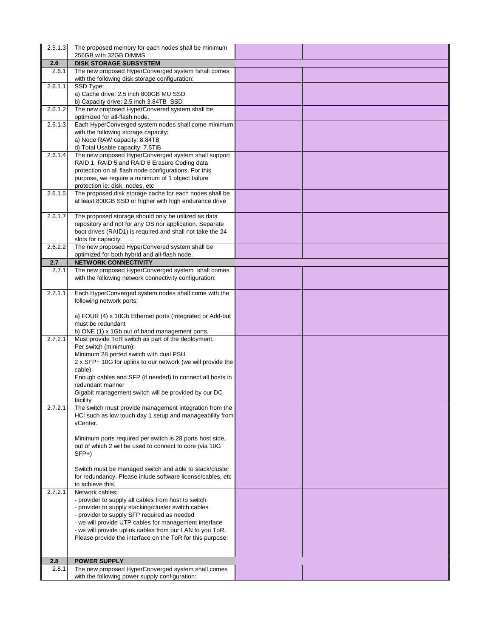| 2.5.1.3 | The proposed memory for each nodes shall be minimum                                                                 |  |
|---------|---------------------------------------------------------------------------------------------------------------------|--|
|         | 256GB with 32GB DIMMS                                                                                               |  |
| 2.6     | <b>DISK STORAGE SUBSYSTEM</b>                                                                                       |  |
| 2.6.1   | The new proposed HyperConverged system fshall comes                                                                 |  |
|         | with the following disk storage configuration:                                                                      |  |
| 2.6.1.1 | SSD Type:<br>a) Cache drive: 2.5 inch 800GB MU SSD                                                                  |  |
|         | b) Capacity drive: 2.5 inch 3.84TB SSD                                                                              |  |
| 2.6.1.2 | The new proposed HyperConvered system shall be                                                                      |  |
|         | optimized for all-flash node.                                                                                       |  |
| 2.6.1.3 | Each HyperConverged system nodes shall come minimum                                                                 |  |
|         | with the following storage capacity:                                                                                |  |
|         | a) Node RAW capacity: 8.84TB                                                                                        |  |
|         | d) Total Usable capacity: 7.5TiB                                                                                    |  |
| 2.6.1.4 | The new proposed HyperConverged system shall support                                                                |  |
|         | RAID 1, RAID 5 and RAID 6 Erasure Coding data                                                                       |  |
|         | protection on all flash node configurations. For this                                                               |  |
|         | purpose, we require a minimum of 1 object failure<br>protection ie: disk, nodes, etc                                |  |
| 2.6.1.5 | The proposed disk storage cache for each nodes shall be                                                             |  |
|         | at least 800GB SSD or higher with high endurance drive                                                              |  |
|         |                                                                                                                     |  |
| 2.6.1.7 | The proposed storage should only be utilized as data                                                                |  |
|         | repository and not for any OS nor application. Separate                                                             |  |
|         | boot drives (RAID1) is required and shall not take the 24                                                           |  |
|         | slots for capacity.                                                                                                 |  |
| 2.6.2.2 | The new proposed HyperConvered system shall be                                                                      |  |
| 2.7     | optimized for both hybrid and all-flash node.<br><b>NETWORK CONNECTIVITY</b>                                        |  |
| 2.7.1   | The new proposed HyperConverged system shall comes                                                                  |  |
|         | with the following network connectivity configuration:                                                              |  |
|         |                                                                                                                     |  |
| 2.7.1.1 | Each HyperConverged system nodes shall come with the                                                                |  |
|         | following network ports:                                                                                            |  |
|         |                                                                                                                     |  |
|         | a) FOUR (4) x 10Gb Ethernet ports (Integrated or Add-but                                                            |  |
|         | must be redundant                                                                                                   |  |
| 2.7.2.1 | b) ONE (1) x 1Gb out of band management ports.<br>Must provide ToR switch as part of the deployment.                |  |
|         | Per switch (minimum):                                                                                               |  |
|         | Minimum 28 ported switch with dual PSU                                                                              |  |
|         | 2 x SFP+ 10G for uplink to our network (we will provide the                                                         |  |
|         | cable)                                                                                                              |  |
|         | Enough cables and SFP (if needed) to connect all hosts in                                                           |  |
|         | redundant manner                                                                                                    |  |
|         | Gigabit management switch will be provided by our DC                                                                |  |
|         | facility                                                                                                            |  |
| 2.7.2.1 | The switch must provide management integration from the<br>HCI such as low touch day 1 setup and manageability from |  |
|         | vCenter.                                                                                                            |  |
|         |                                                                                                                     |  |
|         | Minimum ports required per switch is 28 ports host side,                                                            |  |
|         | out of which 2 will be used to connect to core (via 10G                                                             |  |
|         | $SFP+$                                                                                                              |  |
|         |                                                                                                                     |  |
|         | Switch must be managed switch and able to stack/cluster                                                             |  |
|         | for redundancy. Please inlude software license/cables, etc<br>to achieve this.                                      |  |
| 2.7.2.1 | Network cables:                                                                                                     |  |
|         | - provider to supply all cables from host to switch                                                                 |  |
|         | - provider to supply stacking/cluster switch cables                                                                 |  |
|         | - provider to supply SFP required as needed                                                                         |  |
|         | - we will provide UTP cables for management interface                                                               |  |
|         | - we will provide uplink cables from our LAN to you ToR.                                                            |  |
|         | Please provide the interface on the ToR for this purpose.                                                           |  |
|         |                                                                                                                     |  |
| 2.8     | <b>POWER SUPPLY</b>                                                                                                 |  |
| 2.8.1   | The new proposed HyperConverged system shall comes                                                                  |  |
|         | with the following power supply configuration:                                                                      |  |
|         |                                                                                                                     |  |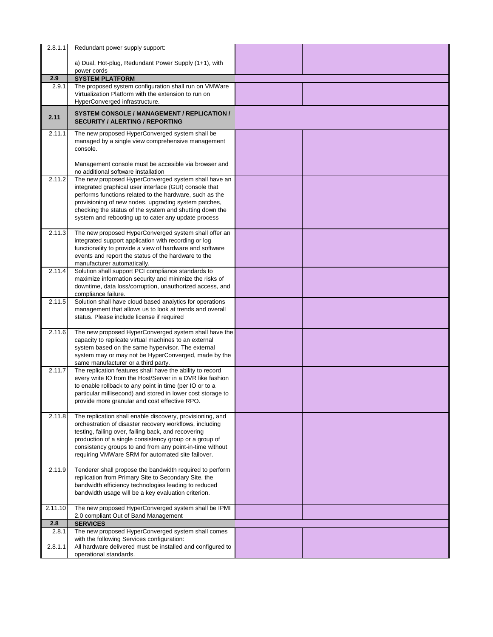| 2.8.1.1      | Redundant power supply support:                                                                                                                                                                                                                                                                                                                        |  |
|--------------|--------------------------------------------------------------------------------------------------------------------------------------------------------------------------------------------------------------------------------------------------------------------------------------------------------------------------------------------------------|--|
|              | a) Dual, Hot-plug, Redundant Power Supply (1+1), with                                                                                                                                                                                                                                                                                                  |  |
|              | power cords                                                                                                                                                                                                                                                                                                                                            |  |
| 2.9<br>2.9.1 | <b>SYSTEM PLATFORM</b><br>The proposed system configuration shall run on VMWare                                                                                                                                                                                                                                                                        |  |
|              | Virtualization Platform with the extension to run on                                                                                                                                                                                                                                                                                                   |  |
|              | HyperConverged infrastructure.                                                                                                                                                                                                                                                                                                                         |  |
| 2.11         | <b>SYSTEM CONSOLE / MANAGEMENT / REPLICATION /</b><br><b>SECURITY / ALERTING / REPORTING</b>                                                                                                                                                                                                                                                           |  |
| 2.11.1       | The new proposed HyperConverged system shall be<br>managed by a single view comprehensive management<br>console.                                                                                                                                                                                                                                       |  |
|              | Management console must be accesible via browser and<br>no additional software installation                                                                                                                                                                                                                                                            |  |
| 2.11.2       | The new proposed HyperConverged system shall have an<br>integrated graphical user interface (GUI) console that<br>performs functions related to the hardware, such as the<br>provisioning of new nodes, upgrading system patches,<br>checking the status of the system and shutting down the<br>system and rebooting up to cater any update process    |  |
| 2.11.3       | The new proposed HyperConverged system shall offer an<br>integrated support application with recording or log<br>functionality to provide a view of hardware and software<br>events and report the status of the hardware to the<br>manufacturer automatically.                                                                                        |  |
| 2.11.4       | Solution shall support PCI compliance standards to<br>maximize information security and minimize the risks of<br>downtime, data loss/corruption, unauthorized access, and<br>compliance failure.                                                                                                                                                       |  |
| 2.11.5       | Solution shall have cloud based analytics for operations<br>management that allows us to look at trends and overall<br>status. Please include license if required                                                                                                                                                                                      |  |
| 2.11.6       | The new proposed HyperConverged system shall have the<br>capacity to replicate virtual machines to an external<br>system based on the same hypervisor. The external<br>system may or may not be HyperConverged, made by the<br>same manufacturer or a third party.                                                                                     |  |
| 2.11.7       | The replication features shall have the ability to record<br>every write IO from the Host/Server in a DVR like fashion<br>to enable rollback to any point in time (per IO or to a<br>particular millisecond) and stored in lower cost storage to<br>provide more granular and cost effective RPO.                                                      |  |
| 2.11.8       | The replication shall enable discovery, provisioning, and<br>orchestration of disaster recovery workflows, including<br>testing, failing over, failing back, and recovering<br>production of a single consistency group or a group of<br>consistency groups to and from any point-in-time without<br>requiring VMWare SRM for automated site failover. |  |
| 2.11.9       | Tenderer shall propose the bandwidth required to perform<br>replication from Primary Site to Secondary Site, the<br>bandwidth efficiency technologies leading to reduced<br>bandwidth usage will be a key evaluation criterion.                                                                                                                        |  |
| 2.11.10      | The new proposed HyperConverged system shall be IPMI<br>2.0 compliant Out of Band Management                                                                                                                                                                                                                                                           |  |
| 2.8          | <b>SERVICES</b>                                                                                                                                                                                                                                                                                                                                        |  |
| 2.8.1        | The new proposed HyperConverged system shall comes                                                                                                                                                                                                                                                                                                     |  |
|              | with the following Services configuration:                                                                                                                                                                                                                                                                                                             |  |
| 2.8.1.1      | All hardware delivered must be installed and configured to<br>operational standards.                                                                                                                                                                                                                                                                   |  |